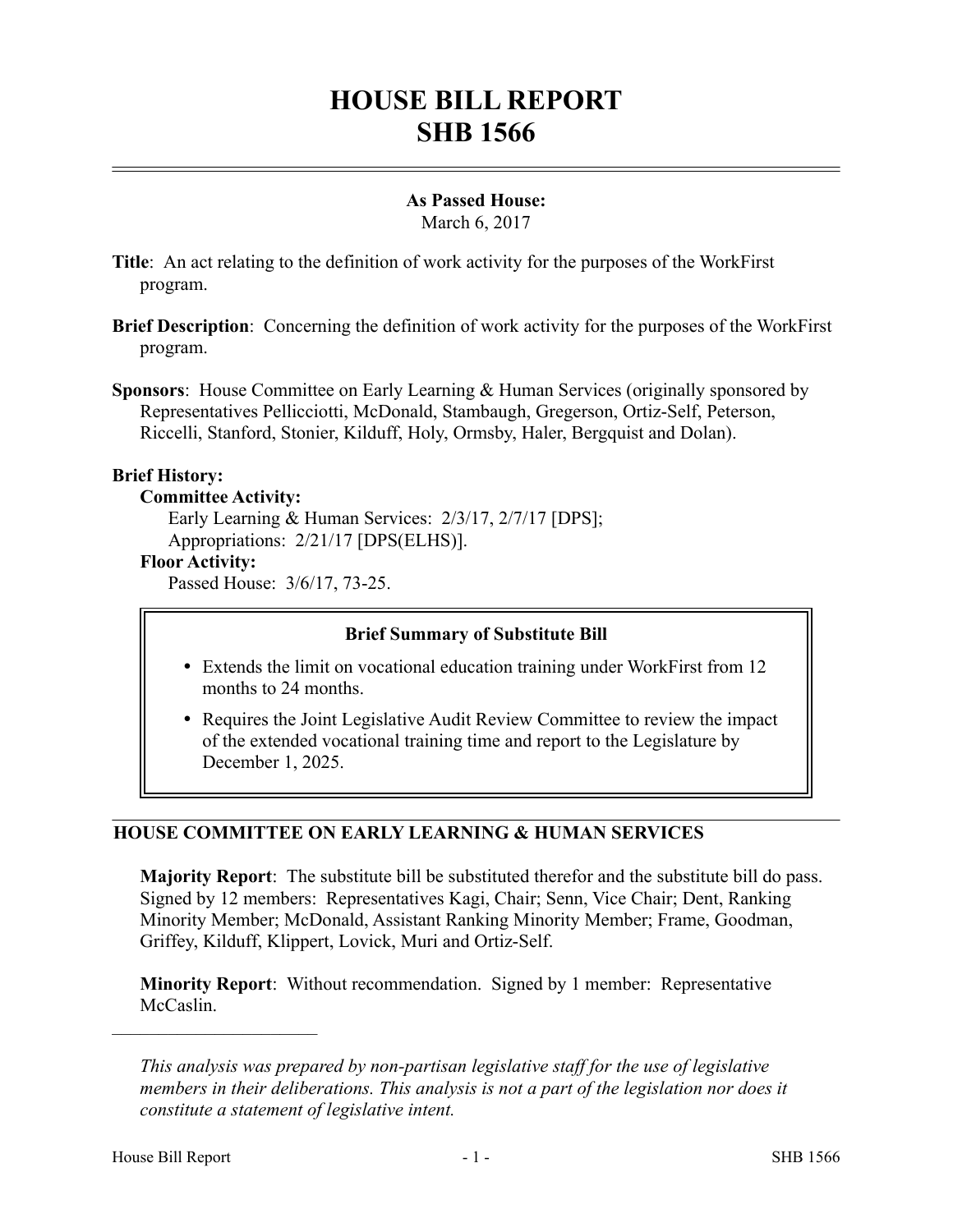# **HOUSE BILL REPORT SHB 1566**

# **As Passed House:**

March 6, 2017

- **Title**: An act relating to the definition of work activity for the purposes of the WorkFirst program.
- **Brief Description**: Concerning the definition of work activity for the purposes of the WorkFirst program.
- **Sponsors**: House Committee on Early Learning & Human Services (originally sponsored by Representatives Pellicciotti, McDonald, Stambaugh, Gregerson, Ortiz-Self, Peterson, Riccelli, Stanford, Stonier, Kilduff, Holy, Ormsby, Haler, Bergquist and Dolan).

# **Brief History:**

# **Committee Activity:**

Early Learning & Human Services: 2/3/17, 2/7/17 [DPS]; Appropriations: 2/21/17 [DPS(ELHS)].

# **Floor Activity:**

Passed House: 3/6/17, 73-25.

# **Brief Summary of Substitute Bill**

- Extends the limit on vocational education training under WorkFirst from 12 months to 24 months.
- Requires the Joint Legislative Audit Review Committee to review the impact of the extended vocational training time and report to the Legislature by December 1, 2025.

# **HOUSE COMMITTEE ON EARLY LEARNING & HUMAN SERVICES**

**Majority Report**: The substitute bill be substituted therefor and the substitute bill do pass. Signed by 12 members: Representatives Kagi, Chair; Senn, Vice Chair; Dent, Ranking Minority Member; McDonald, Assistant Ranking Minority Member; Frame, Goodman, Griffey, Kilduff, Klippert, Lovick, Muri and Ortiz-Self.

**Minority Report**: Without recommendation. Signed by 1 member: Representative McCaslin.

––––––––––––––––––––––

*This analysis was prepared by non-partisan legislative staff for the use of legislative members in their deliberations. This analysis is not a part of the legislation nor does it constitute a statement of legislative intent.*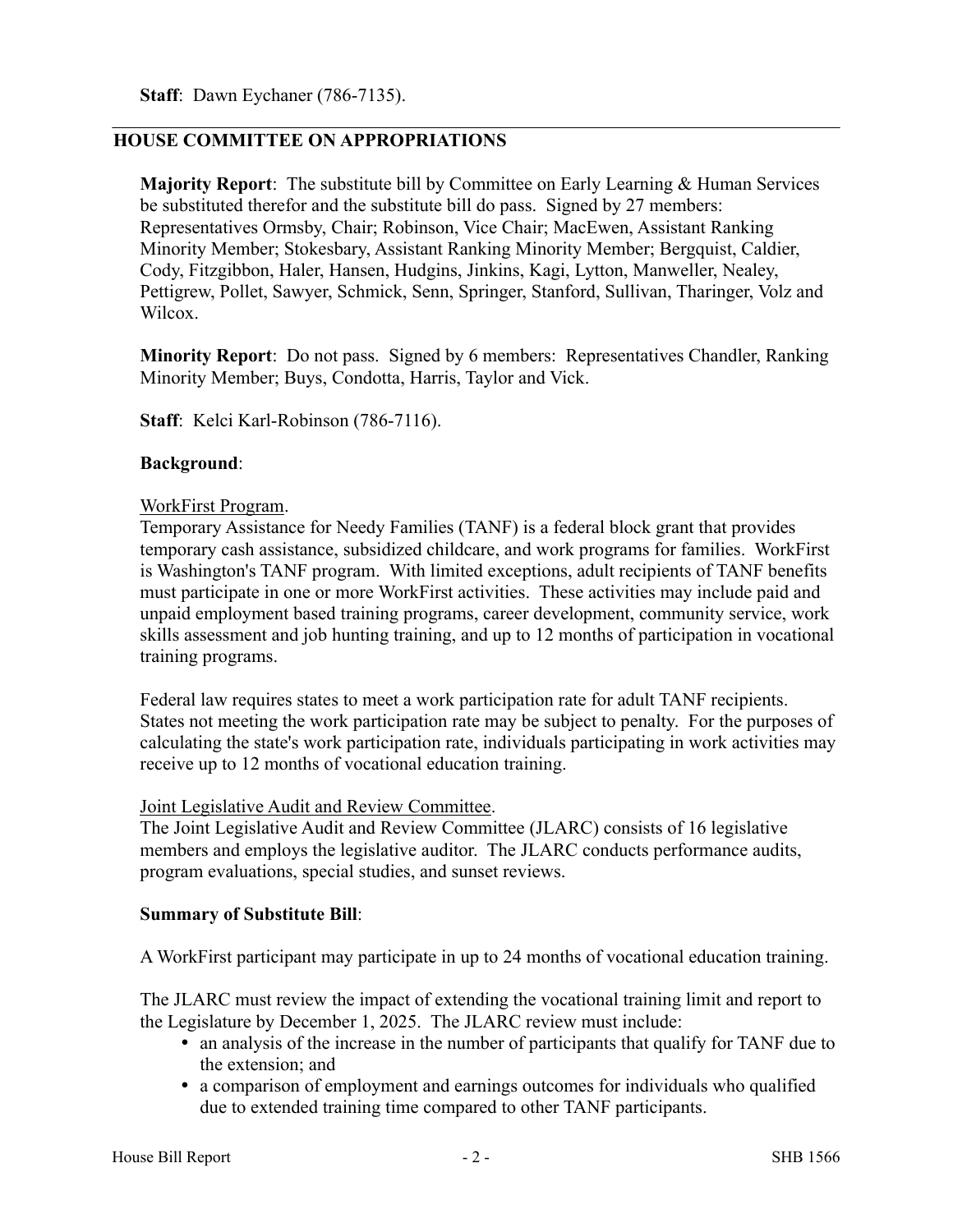## **HOUSE COMMITTEE ON APPROPRIATIONS**

**Majority Report**: The substitute bill by Committee on Early Learning & Human Services be substituted therefor and the substitute bill do pass. Signed by 27 members: Representatives Ormsby, Chair; Robinson, Vice Chair; MacEwen, Assistant Ranking Minority Member; Stokesbary, Assistant Ranking Minority Member; Bergquist, Caldier, Cody, Fitzgibbon, Haler, Hansen, Hudgins, Jinkins, Kagi, Lytton, Manweller, Nealey, Pettigrew, Pollet, Sawyer, Schmick, Senn, Springer, Stanford, Sullivan, Tharinger, Volz and Wilcox.

**Minority Report**: Do not pass. Signed by 6 members: Representatives Chandler, Ranking Minority Member; Buys, Condotta, Harris, Taylor and Vick.

**Staff**: Kelci Karl-Robinson (786-7116).

#### **Background**:

#### WorkFirst Program.

Temporary Assistance for Needy Families (TANF) is a federal block grant that provides temporary cash assistance, subsidized childcare, and work programs for families. WorkFirst is Washington's TANF program. With limited exceptions, adult recipients of TANF benefits must participate in one or more WorkFirst activities. These activities may include paid and unpaid employment based training programs, career development, community service, work skills assessment and job hunting training, and up to 12 months of participation in vocational training programs.

Federal law requires states to meet a work participation rate for adult TANF recipients. States not meeting the work participation rate may be subject to penalty. For the purposes of calculating the state's work participation rate, individuals participating in work activities may receive up to 12 months of vocational education training.

#### Joint Legislative Audit and Review Committee.

The Joint Legislative Audit and Review Committee (JLARC) consists of 16 legislative members and employs the legislative auditor. The JLARC conducts performance audits, program evaluations, special studies, and sunset reviews.

## **Summary of Substitute Bill**:

A WorkFirst participant may participate in up to 24 months of vocational education training.

The JLARC must review the impact of extending the vocational training limit and report to the Legislature by December 1, 2025. The JLARC review must include:

- an analysis of the increase in the number of participants that qualify for TANF due to the extension; and
- a comparison of employment and earnings outcomes for individuals who qualified due to extended training time compared to other TANF participants.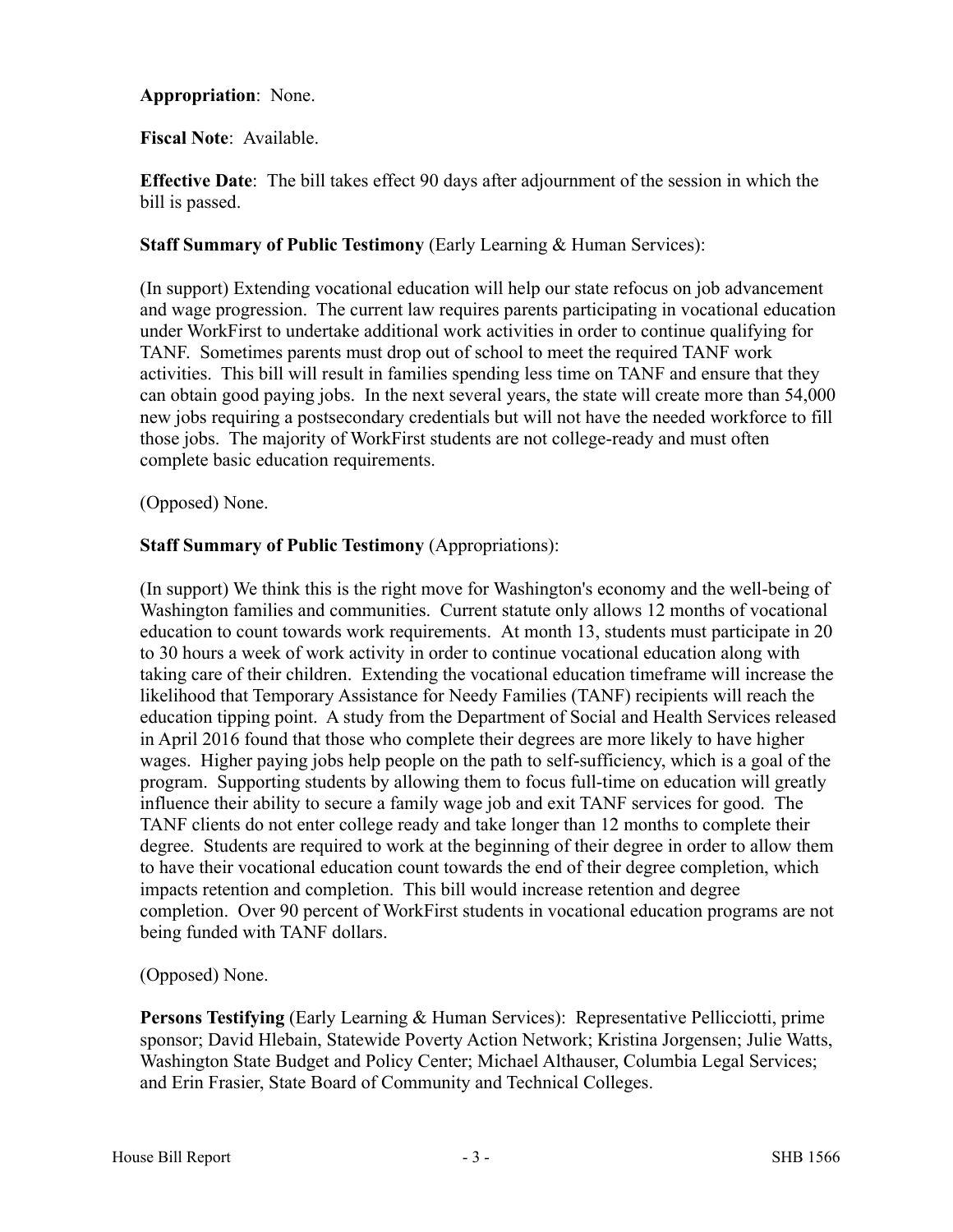## **Appropriation**: None.

## **Fiscal Note**: Available.

**Effective Date**: The bill takes effect 90 days after adjournment of the session in which the bill is passed.

## **Staff Summary of Public Testimony** (Early Learning & Human Services):

(In support) Extending vocational education will help our state refocus on job advancement and wage progression. The current law requires parents participating in vocational education under WorkFirst to undertake additional work activities in order to continue qualifying for TANF. Sometimes parents must drop out of school to meet the required TANF work activities. This bill will result in families spending less time on TANF and ensure that they can obtain good paying jobs. In the next several years, the state will create more than 54,000 new jobs requiring a postsecondary credentials but will not have the needed workforce to fill those jobs. The majority of WorkFirst students are not college-ready and must often complete basic education requirements.

## (Opposed) None.

# **Staff Summary of Public Testimony** (Appropriations):

(In support) We think this is the right move for Washington's economy and the well-being of Washington families and communities. Current statute only allows 12 months of vocational education to count towards work requirements. At month 13, students must participate in 20 to 30 hours a week of work activity in order to continue vocational education along with taking care of their children. Extending the vocational education timeframe will increase the likelihood that Temporary Assistance for Needy Families (TANF) recipients will reach the education tipping point. A study from the Department of Social and Health Services released in April 2016 found that those who complete their degrees are more likely to have higher wages. Higher paying jobs help people on the path to self-sufficiency, which is a goal of the program. Supporting students by allowing them to focus full-time on education will greatly influence their ability to secure a family wage job and exit TANF services for good. The TANF clients do not enter college ready and take longer than 12 months to complete their degree. Students are required to work at the beginning of their degree in order to allow them to have their vocational education count towards the end of their degree completion, which impacts retention and completion. This bill would increase retention and degree completion. Over 90 percent of WorkFirst students in vocational education programs are not being funded with TANF dollars.

## (Opposed) None.

**Persons Testifying** (Early Learning & Human Services): Representative Pellicciotti, prime sponsor; David Hlebain, Statewide Poverty Action Network; Kristina Jorgensen; Julie Watts, Washington State Budget and Policy Center; Michael Althauser, Columbia Legal Services; and Erin Frasier, State Board of Community and Technical Colleges.